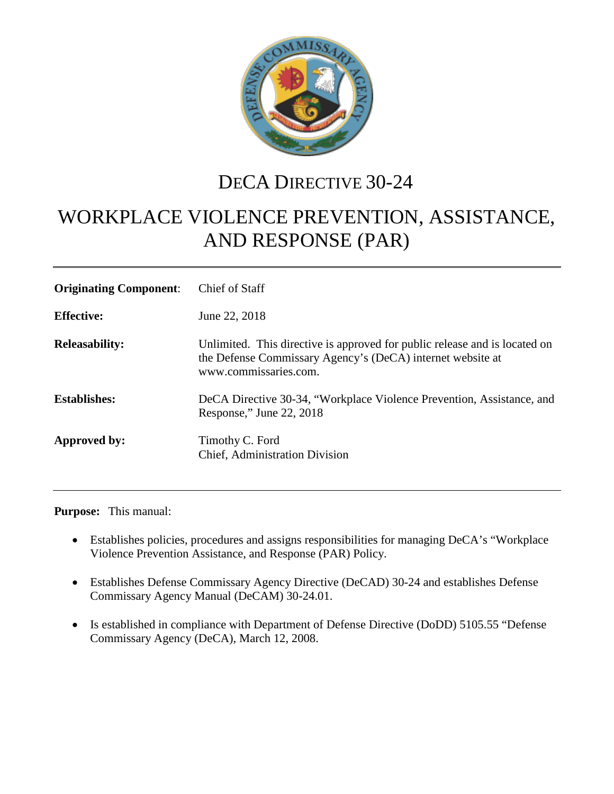

## DECA DIRECTIVE 30-24

# WORKPLACE VIOLENCE PREVENTION, ASSISTANCE, AND RESPONSE (PAR)

| <b>Originating Component:</b> | Chief of Staff                                                                                                                                                    |
|-------------------------------|-------------------------------------------------------------------------------------------------------------------------------------------------------------------|
| <b>Effective:</b>             | June 22, 2018                                                                                                                                                     |
| <b>Releasability:</b>         | Unlimited. This directive is approved for public release and is located on<br>the Defense Commissary Agency's (DeCA) internet website at<br>www.commissaries.com. |
| <b>Establishes:</b>           | DeCA Directive 30-34, "Workplace Violence Prevention, Assistance, and<br>Response," June 22, 2018                                                                 |
| Approved by:                  | Timothy C. Ford<br>Chief, Administration Division                                                                                                                 |

**Purpose:** This manual:

- Establishes policies, procedures and assigns responsibilities for managing DeCA's "Workplace" Violence Prevention Assistance, and Response (PAR) Policy.
- Establishes Defense Commissary Agency Directive (DeCAD) 30-24 and establishes Defense Commissary Agency Manual (DeCAM) 30-24.01.
- Is established in compliance with Department of Defense Directive (DoDD) 5105.55 "Defense Commissary Agency (DeCA), March 12, 2008.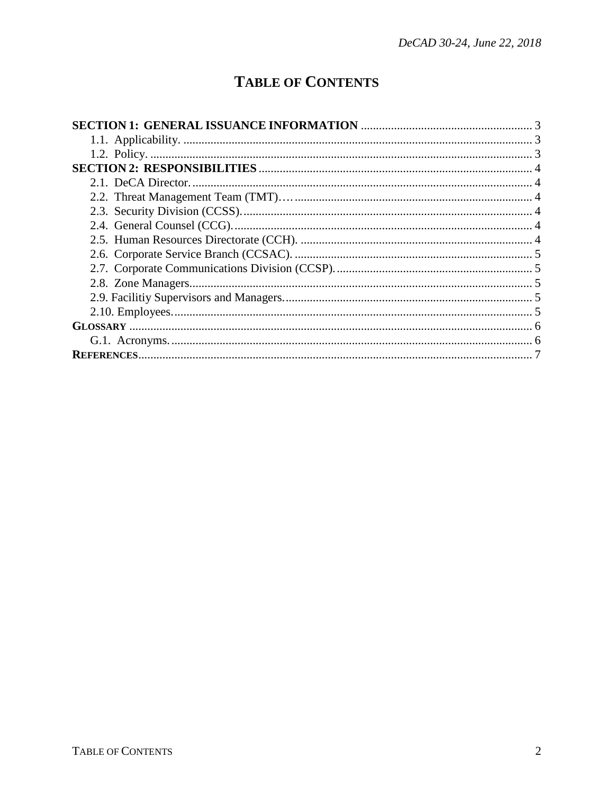### **TABLE OF CONTENTS**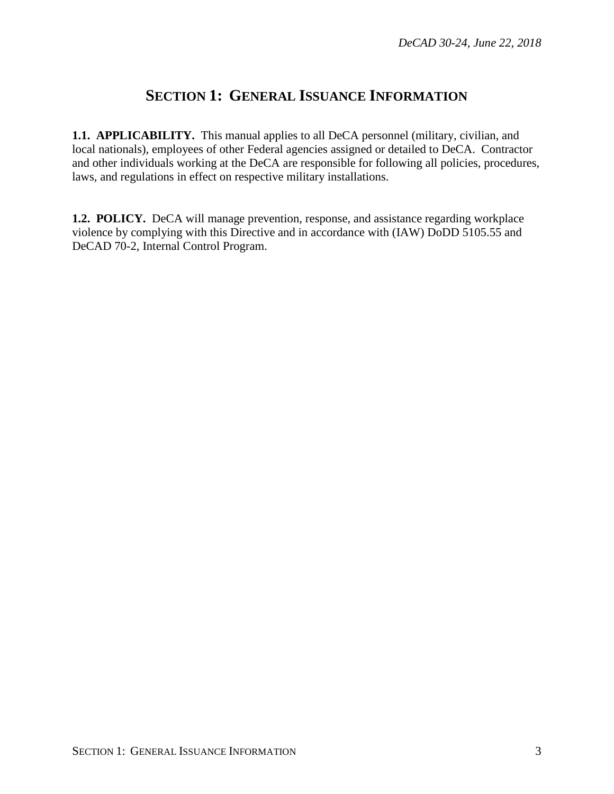#### **SECTION 1: GENERAL ISSUANCE INFORMATION**

<span id="page-2-1"></span><span id="page-2-0"></span>**1.1. APPLICABILITY.** This manual applies to all DeCA personnel (military, civilian, and local nationals), employees of other Federal agencies assigned or detailed to DeCA. Contractor and other individuals working at the DeCA are responsible for following all policies, procedures, laws, and regulations in effect on respective military installations.

<span id="page-2-3"></span><span id="page-2-2"></span>**1.2. POLICY.** DeCA will manage prevention, response, and assistance regarding workplace violence by complying with this Directive and in accordance with (IAW) DoDD 5105.55 and DeCAD 70-2, Internal Control Program.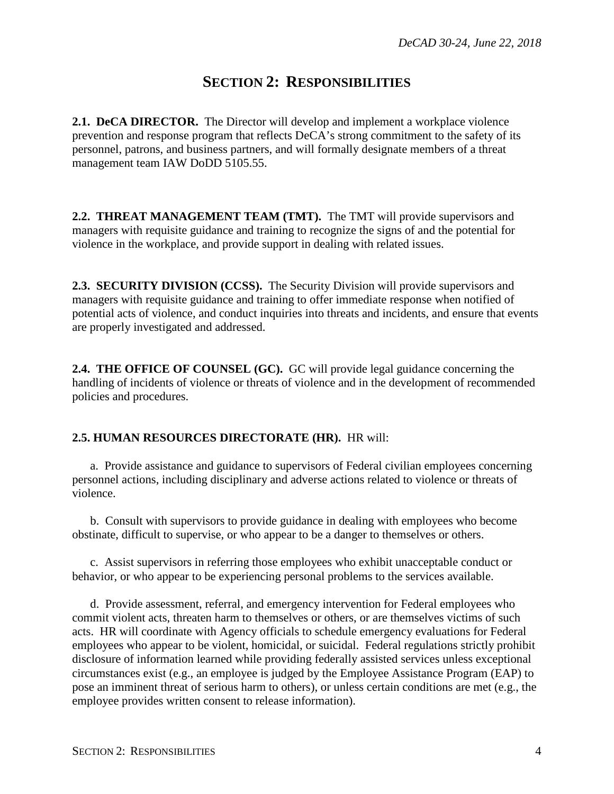#### **SECTION 2: RESPONSIBILITIES**

<span id="page-3-0"></span>**2.1. DeCA DIRECTOR.** The Director will develop and implement a workplace violence prevention and response program that reflects DeCA's strong commitment to the safety of its personnel, patrons, and business partners, and will formally designate members of a threat management team IAW DoDD 5105.55.

<span id="page-3-1"></span>**2.2. THREAT MANAGEMENT TEAM (TMT).** The TMT will provide supervisors and managers with requisite guidance and training to recognize the signs of and the potential for violence in the workplace, and provide support in dealing with related issues.

<span id="page-3-2"></span>**2.3. SECURITY DIVISION (CCSS).** The Security Division will provide supervisors and managers with requisite guidance and training to offer immediate response when notified of potential acts of violence, and conduct inquiries into threats and incidents, and ensure that events are properly investigated and addressed.

<span id="page-3-3"></span>**2.4. THE OFFICE OF COUNSEL (GC).** GC will provide legal guidance concerning the handling of incidents of violence or threats of violence and in the development of recommended policies and procedures.

#### <span id="page-3-4"></span>**2.5. HUMAN RESOURCES DIRECTORATE (HR).** HR will:

a. Provide assistance and guidance to supervisors of Federal civilian employees concerning personnel actions, including disciplinary and adverse actions related to violence or threats of violence.

b. Consult with supervisors to provide guidance in dealing with employees who become obstinate, difficult to supervise, or who appear to be a danger to themselves or others.

c. Assist supervisors in referring those employees who exhibit unacceptable conduct or behavior, or who appear to be experiencing personal problems to the services available.

d. Provide assessment, referral, and emergency intervention for Federal employees who commit violent acts, threaten harm to themselves or others, or are themselves victims of such acts. HR will coordinate with Agency officials to schedule emergency evaluations for Federal employees who appear to be violent, homicidal, or suicidal. Federal regulations strictly prohibit disclosure of information learned while providing federally assisted services unless exceptional circumstances exist (e.g., an employee is judged by the Employee Assistance Program (EAP) to pose an imminent threat of serious harm to others), or unless certain conditions are met (e.g., the employee provides written consent to release information).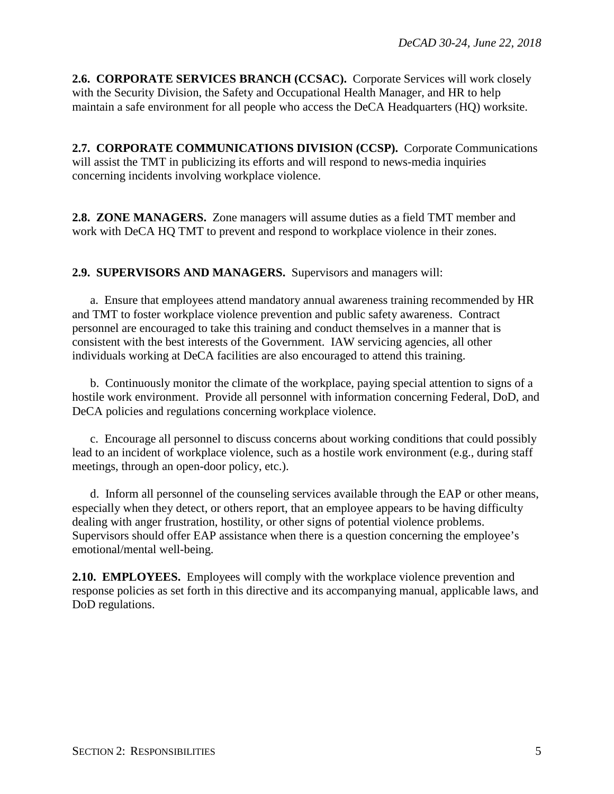<span id="page-4-0"></span>**2.6. CORPORATE SERVICES BRANCH (CCSAC).** Corporate Services will work closely with the Security Division, the Safety and Occupational Health Manager, and HR to help maintain a safe environment for all people who access the DeCA Headquarters (HQ) worksite.

<span id="page-4-1"></span>**2.7. CORPORATE COMMUNICATIONS DIVISION (CCSP).** Corporate Communications will assist the TMT in publicizing its efforts and will respond to news-media inquiries concerning incidents involving workplace violence.

<span id="page-4-3"></span><span id="page-4-2"></span>**2.8. ZONE MANAGERS.** Zone managers will assume duties as a field TMT member and work with DeCA HQ TMT to prevent and respond to workplace violence in their zones.

**2.9. SUPERVISORS AND MANAGERS.** Supervisors and managers will:

a. Ensure that employees attend mandatory annual awareness training recommended by HR and TMT to foster workplace violence prevention and public safety awareness. Contract personnel are encouraged to take this training and conduct themselves in a manner that is consistent with the best interests of the Government. IAW servicing agencies, all other individuals working at DeCA facilities are also encouraged to attend this training.

b. Continuously monitor the climate of the workplace, paying special attention to signs of a hostile work environment. Provide all personnel with information concerning Federal, DoD, and DeCA policies and regulations concerning workplace violence.

c. Encourage all personnel to discuss concerns about working conditions that could possibly lead to an incident of workplace violence, such as a hostile work environment (e.g., during staff meetings, through an open-door policy, etc.).

d. Inform all personnel of the counseling services available through the EAP or other means, especially when they detect, or others report, that an employee appears to be having difficulty dealing with anger frustration, hostility, or other signs of potential violence problems. Supervisors should offer EAP assistance when there is a question concerning the employee's emotional/mental well-being.

<span id="page-4-4"></span>**2.10. EMPLOYEES.** Employees will comply with the workplace violence prevention and response policies as set forth in this directive and its accompanying manual, applicable laws, and DoD regulations.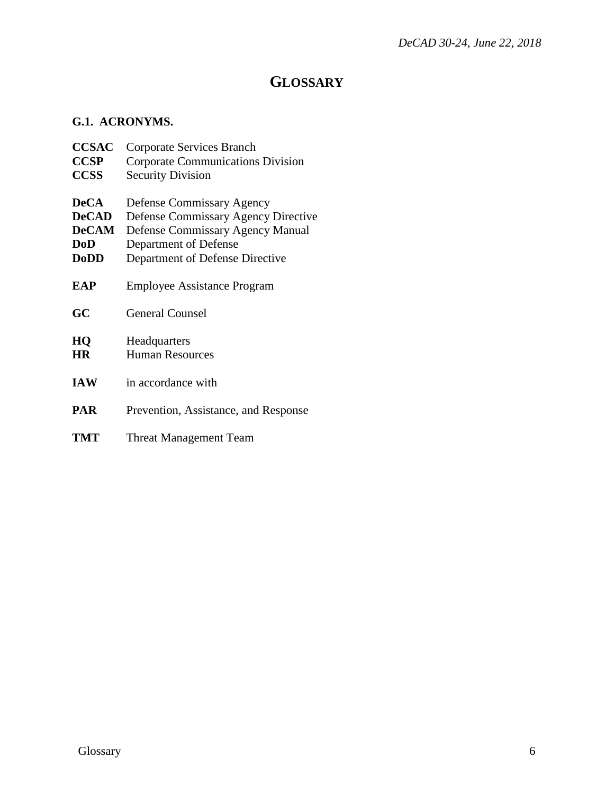### **GLOSSARY**

#### <span id="page-5-1"></span><span id="page-5-0"></span>**G.1. ACRONYMS.**

| <b>CCSAC</b>    | <b>Corporate Services Branch</b>           |
|-----------------|--------------------------------------------|
| <b>CCSP</b>     | <b>Corporate Communications Division</b>   |
| <b>CCSS</b>     | <b>Security Division</b>                   |
| <b>DeCA</b>     | Defense Commissary Agency                  |
| <b>DeCAD</b>    | <b>Defense Commissary Agency Directive</b> |
| <b>DeCAM</b>    | <b>Defense Commissary Agency Manual</b>    |
| DoD             | Department of Defense                      |
| <b>DoDD</b>     | Department of Defense Directive            |
| EAP             | Employee Assistance Program                |
| GC              | <b>General Counsel</b>                     |
| HQ<br><b>HR</b> | Headquarters<br><b>Human Resources</b>     |
| <b>IAW</b>      | in accordance with                         |
| <b>PAR</b>      | Prevention, Assistance, and Response       |
| TMT             | Threat Management Team                     |